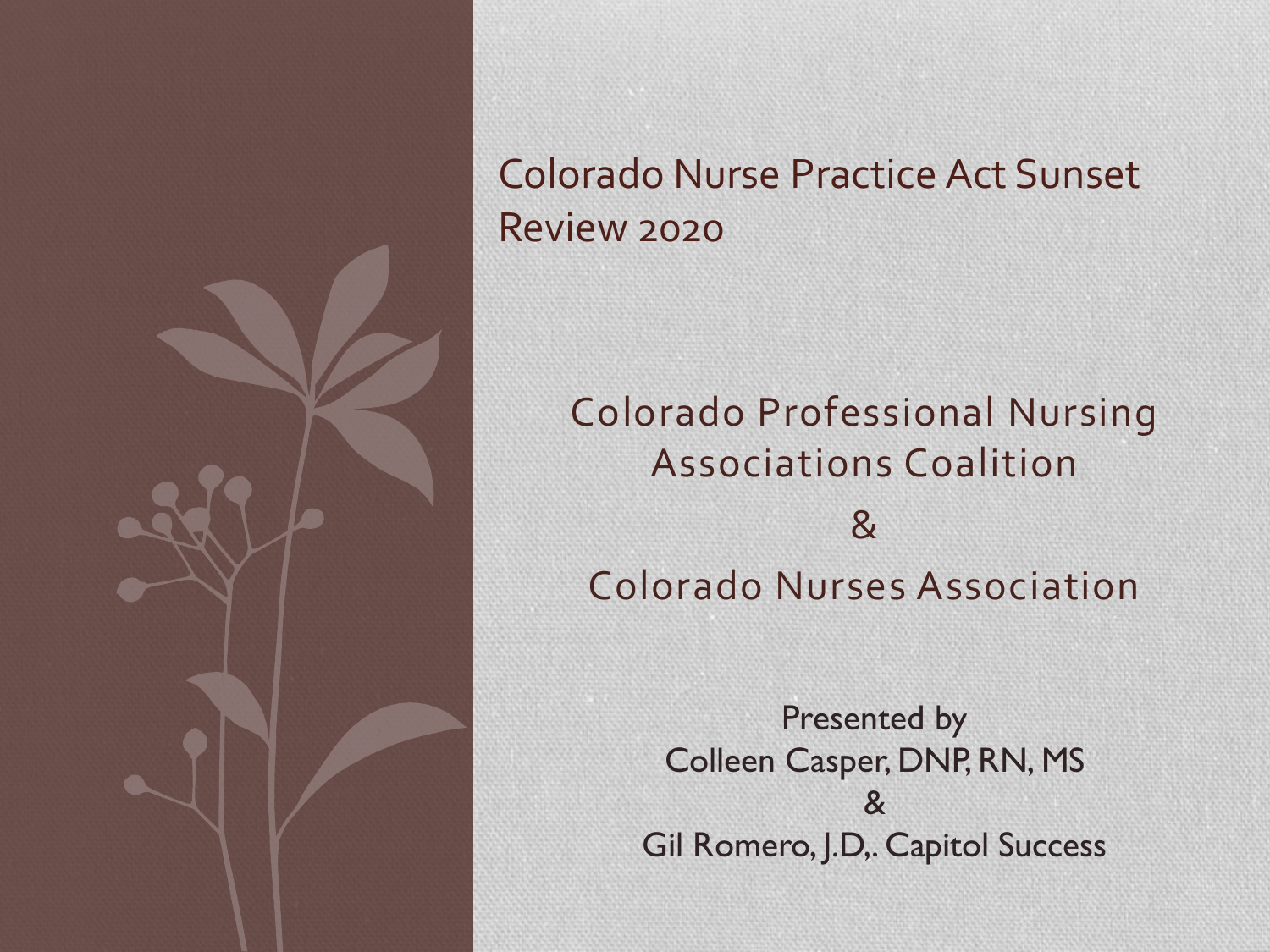

#### Colorado Nurse Practice Act Sunset Review 2020

### Colorado Professional Nursing Associations Coalition & Colorado Nurses Association

Presented by Colleen Casper, DNP, RN, MS & Gil Romero, J.D,. Capitol Success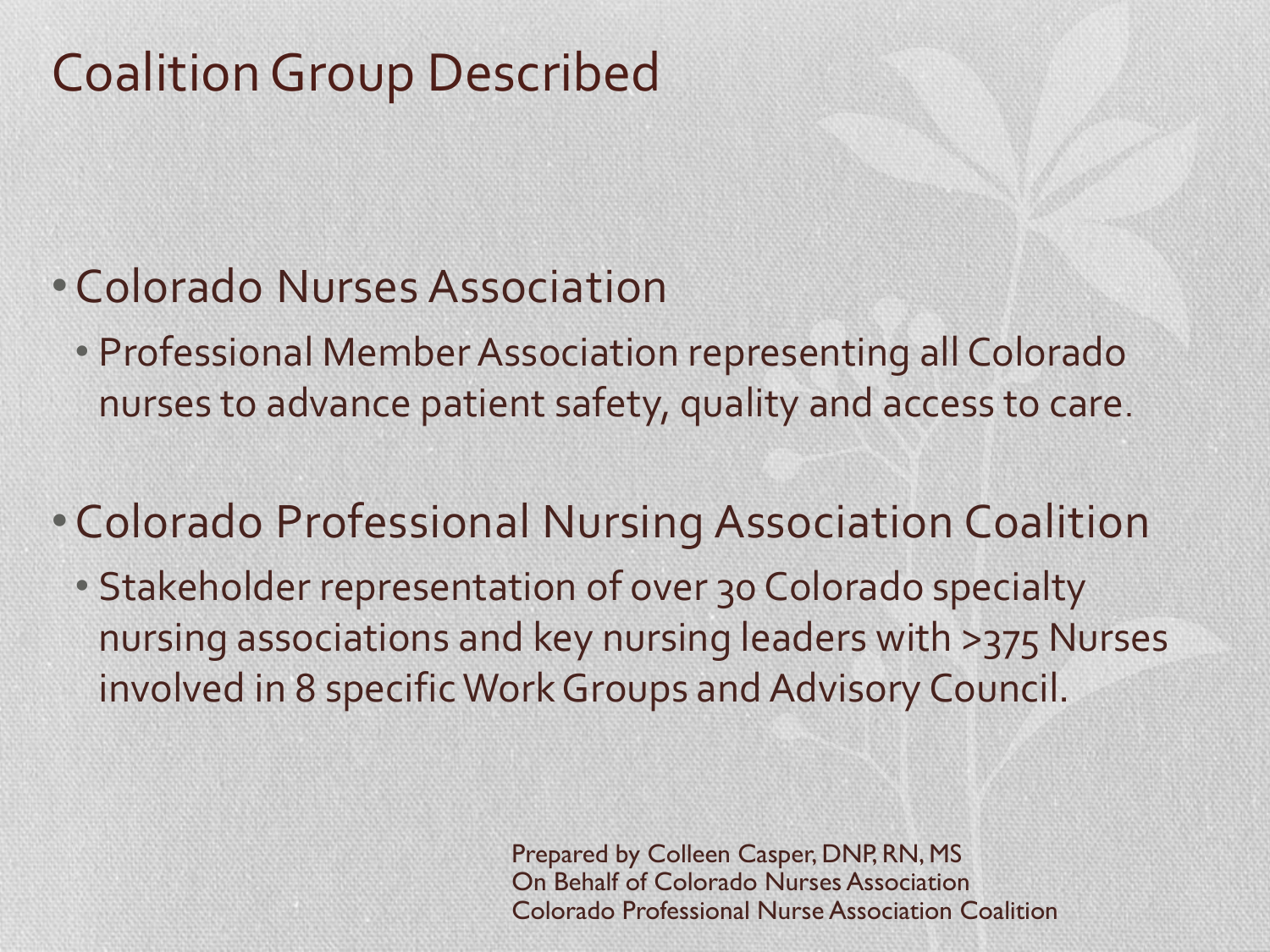# Coalition Group Described

### •Colorado Nurses Association

• Professional Member Association representing all Colorado nurses to advance patient safety, quality and access to care.

### •Colorado Professional Nursing Association Coalition

• Stakeholder representation of over 30 Colorado specialty nursing associations and key nursing leaders with >375 Nurses involved in 8 specific Work Groups and Advisory Council.

> Prepared by Colleen Casper, DNP, RN, MS On Behalf of Colorado Nurses Association Colorado Professional Nurse Association Coalition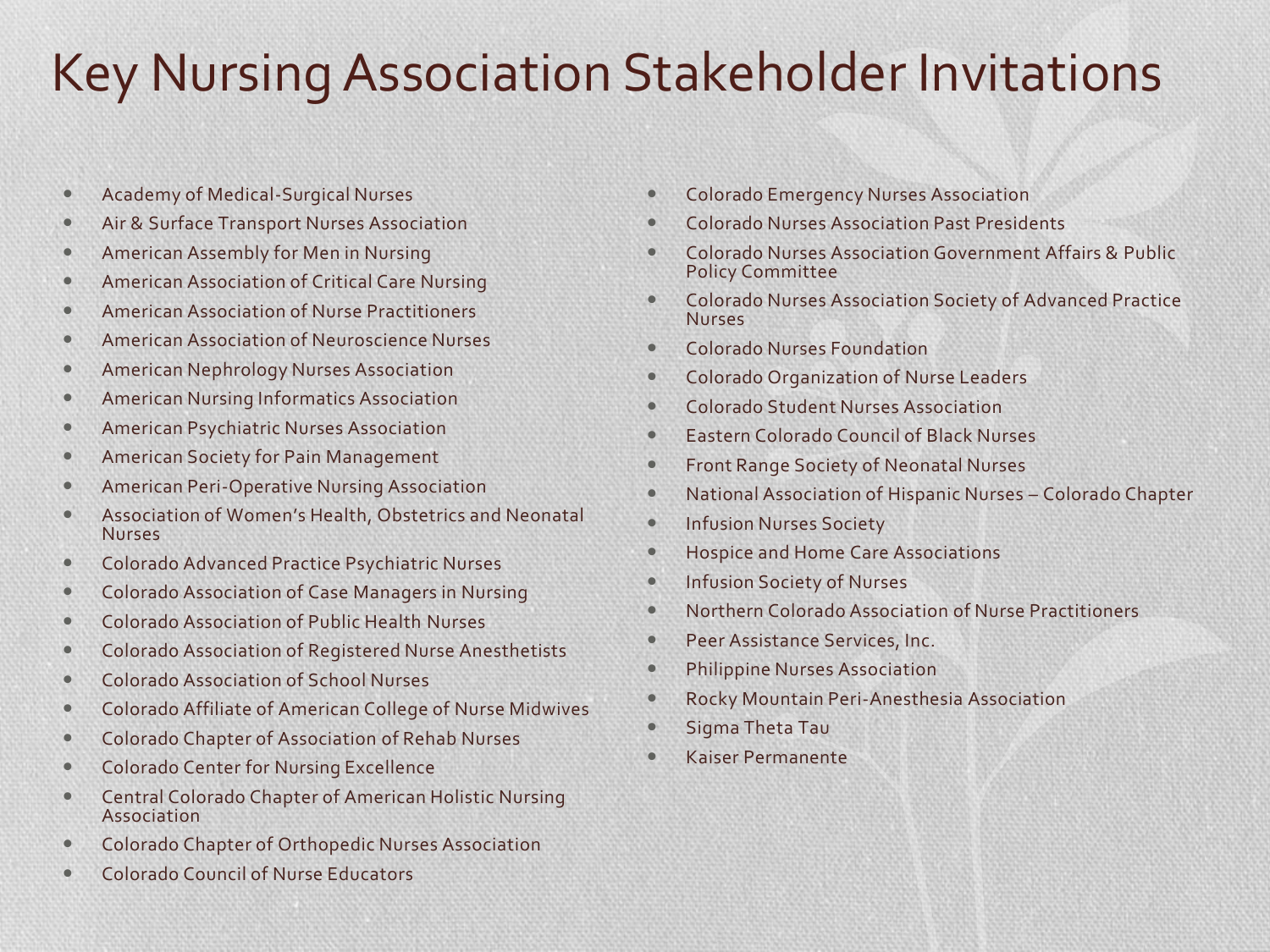## Key Nursing Association Stakeholder Invitations

- Academy of Medical-Surgical Nurses
- **Air & Surface Transport Nurses Association**
- **American Assembly for Men in Nursing**
- **American Association of Critical Care Nursing**
- American Association of Nurse Practitioners
- American Association of Neuroscience Nurses
- American Nephrology Nurses Association
- American Nursing Informatics Association
- American Psychiatric Nurses Association
- American Society for Pain Management
- **American Peri-Operative Nursing Association**
- Association of Women's Health, Obstetrics and Neonatal Nurses
- **Colorado Advanced Practice Psychiatric Nurses**
- Colorado Association of Case Managers in Nursing
- Colorado Association of Public Health Nurses
- **Colorado Association of Registered Nurse Anesthetists**
- Colorado Association of School Nurses
- Colorado Affiliate of American College of Nurse Midwives
- **Colorado Chapter of Association of Rehab Nurses**
- **Colorado Center for Nursing Excellence**
- Central Colorado Chapter of American Holistic Nursing Association
- Colorado Chapter of Orthopedic Nurses Association
- Colorado Council of Nurse Educators
- Colorado Emergency Nurses Association
- Colorado Nurses Association Past Presidents
- Colorado Nurses Association Government Affairs & Public Policy Committee
- Colorado Nurses Association Society of Advanced Practice Nurses
- Colorado Nurses Foundation
- Colorado Organization of Nurse Leaders
- Colorado Student Nurses Association
- **Eastern Colorado Council of Black Nurses**
- **Front Range Society of Neonatal Nurses**
- National Association of Hispanic Nurses Colorado Chapter
- **Infusion Nurses Society**
- **Hospice and Home Care Associations**
- **Infusion Society of Nurses**
- Northern Colorado Association of Nurse Practitioners
- **Peer Assistance Services, Inc.**
- **•** Philippine Nurses Association
- Rocky Mountain Peri-Anesthesia Association
- **•** Sigma Theta Tau
- Kaiser Permanente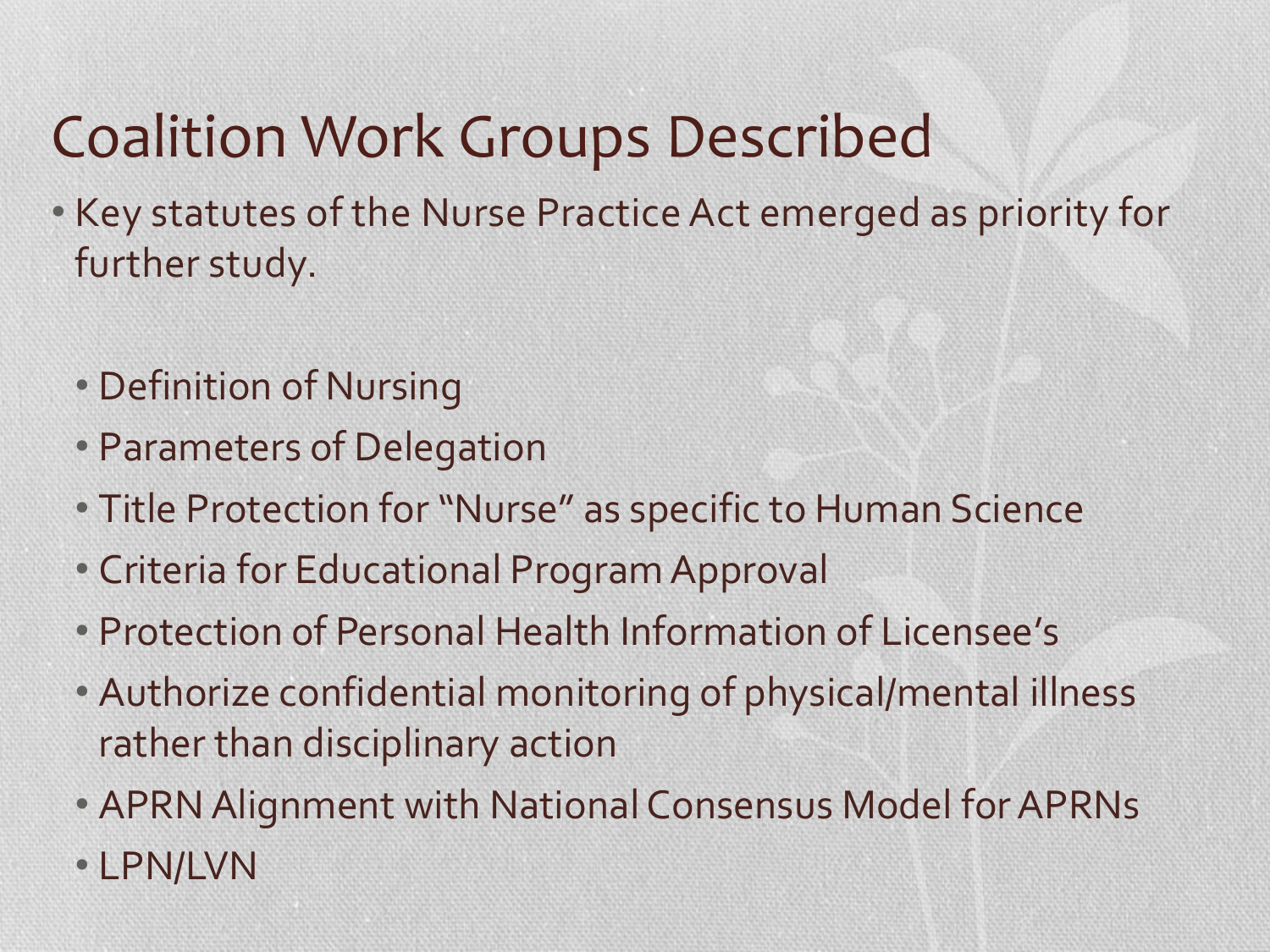# Coalition Work Groups Described

- Key statutes of the Nurse Practice Act emerged as priority for further study.
	- Definition of Nursing
	- Parameters of Delegation
	- Title Protection for "Nurse" as specific to Human Science
	- Criteria for Educational Program Approval
	- Protection of Personal Health Information of Licensee's
	- Authorize confidential monitoring of physical/mental illness rather than disciplinary action
	- APRN Alignment with National Consensus Model for APRNs
	- LPN/LVN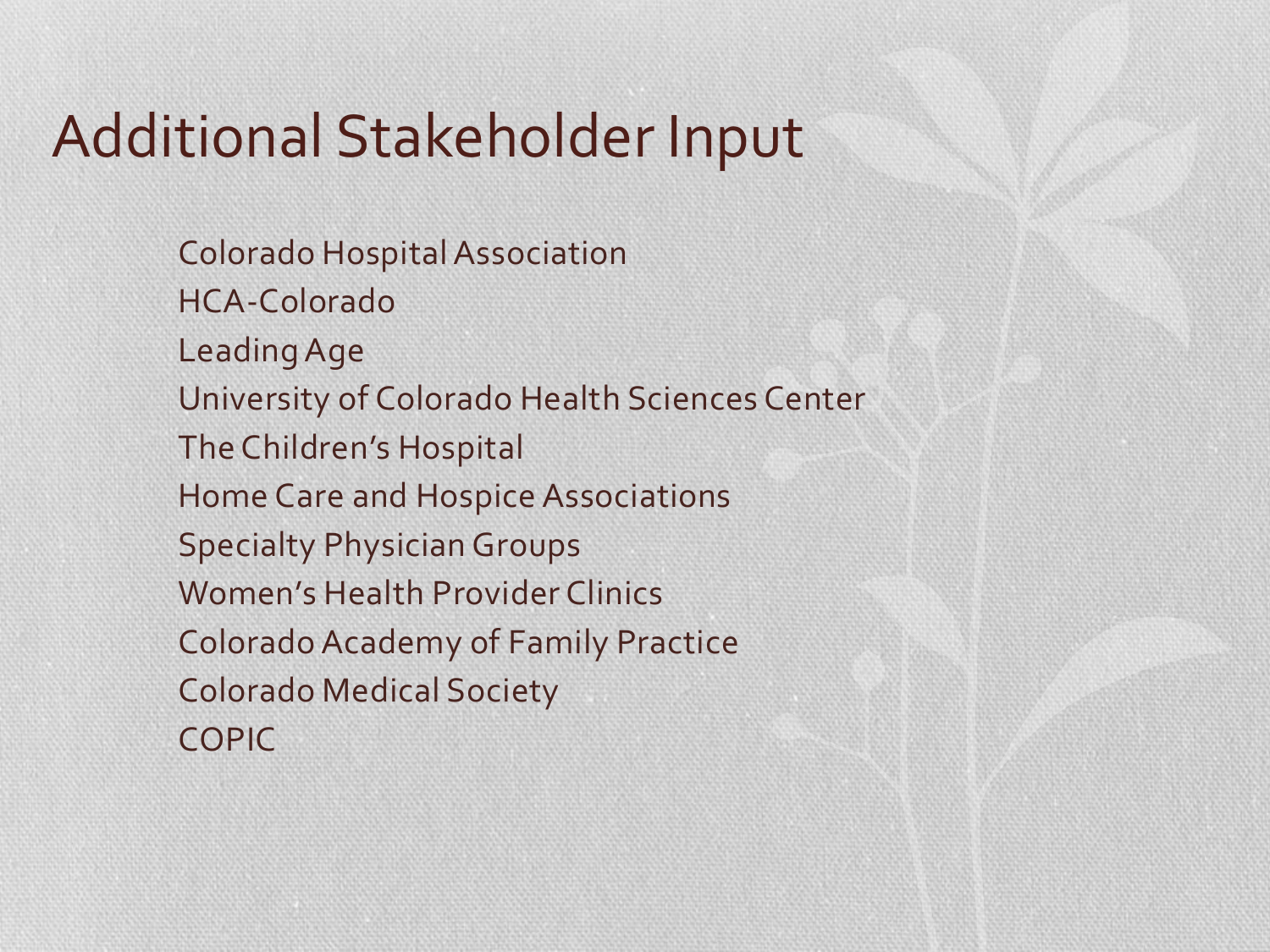# Additional Stakeholder Input

Colorado Hospital Association HCA-Colorado Leading Age University of Colorado Health Sciences Center The Children's Hospital Home Care and Hospice Associations Specialty Physician Groups Women's Health Provider Clinics Colorado Academy of Family Practice Colorado Medical Society COPIC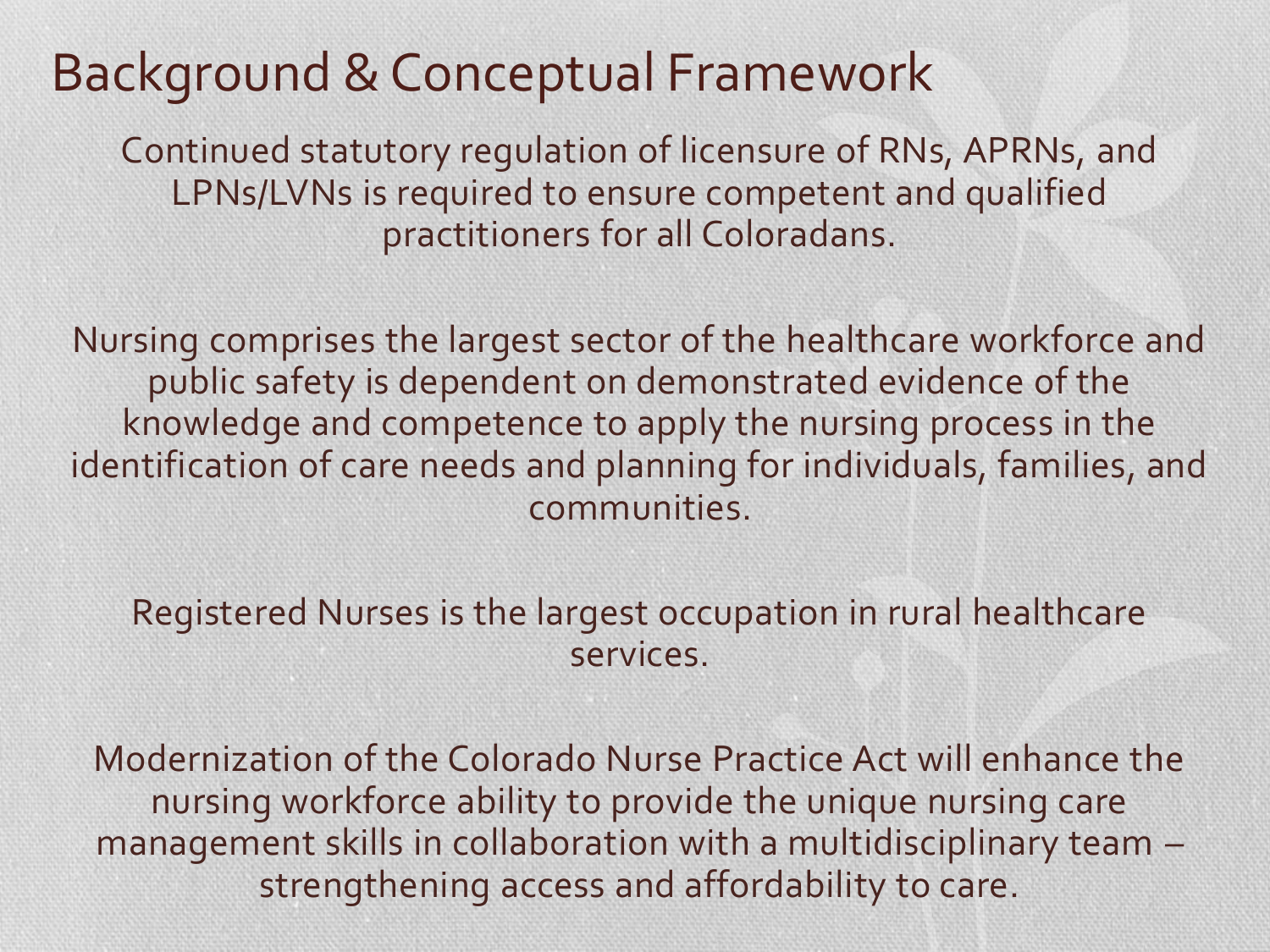## Background & Conceptual Framework

Continued statutory regulation of licensure of RNs, APRNs, and LPNs/LVNs is required to ensure competent and qualified practitioners for all Coloradans.

Nursing comprises the largest sector of the healthcare workforce and public safety is dependent on demonstrated evidence of the knowledge and competence to apply the nursing process in the identification of care needs and planning for individuals, families, and communities.

Registered Nurses is the largest occupation in rural healthcare services.

Modernization of the Colorado Nurse Practice Act will enhance the nursing workforce ability to provide the unique nursing care management skills in collaboration with a multidisciplinary team – strengthening access and affordability to care.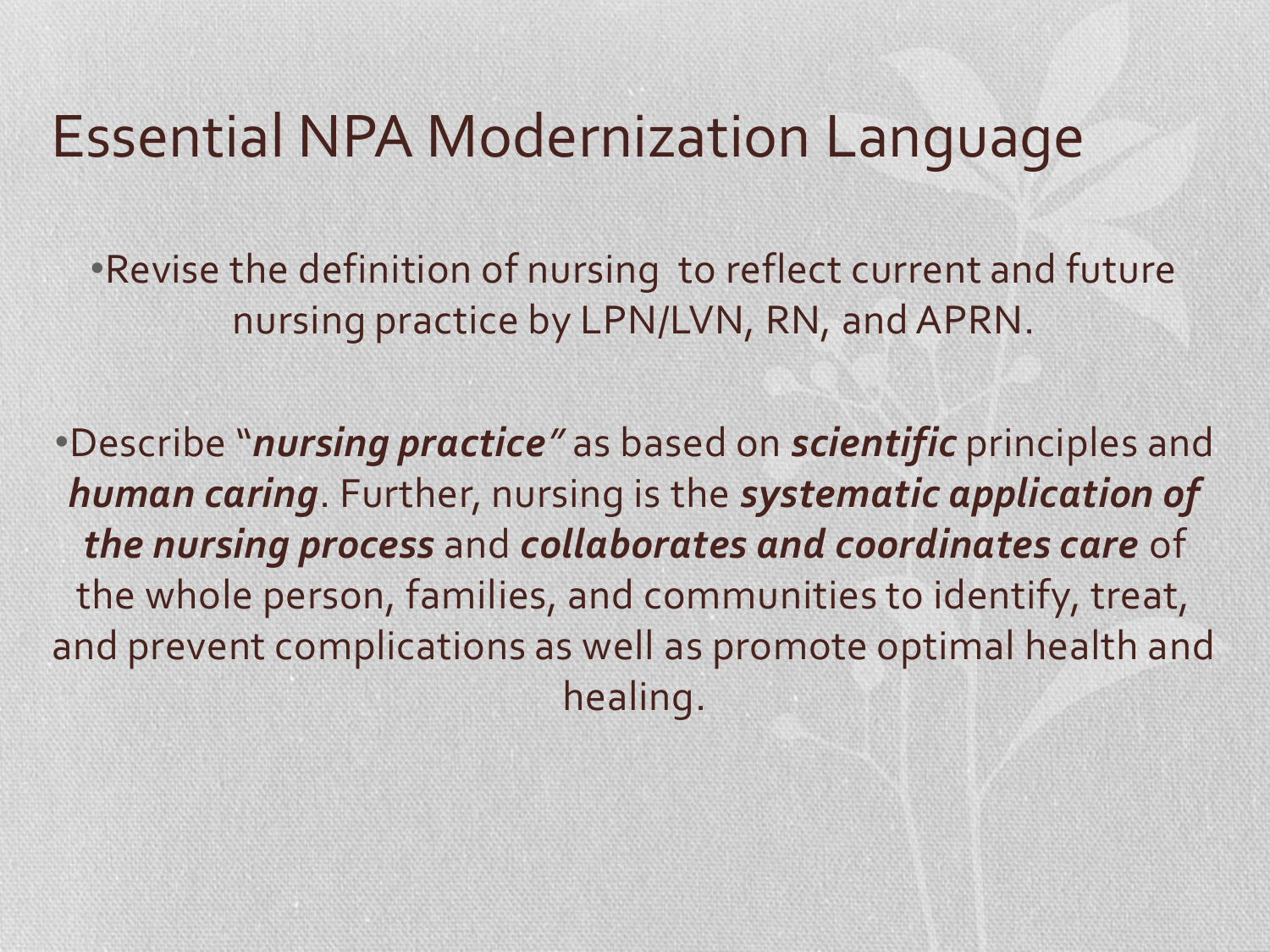# Essential NPA Modernization Language

•Revise the definition of nursing to reflect current and future nursing practice by LPN/LVN, RN, and APRN.

•Describe "*nursing practice"* as based on *scientific* principles and *human caring*. Further, nursing is the *systematic application of the nursing process* and *collaborates and coordinates care* of the whole person, families, and communities to identify, treat, and prevent complications as well as promote optimal health and healing.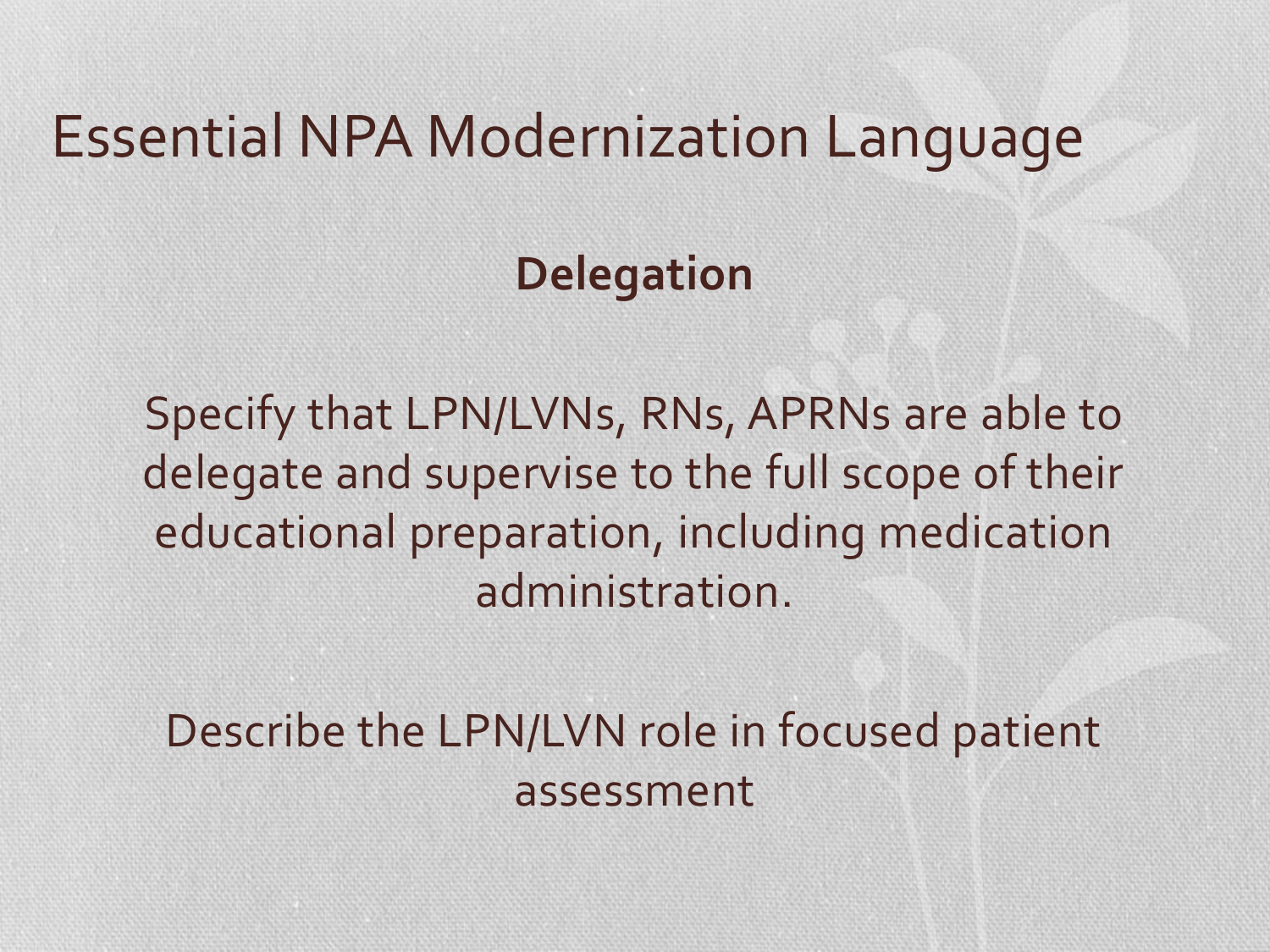# Essential NPA Modernization Language

## **Delegation**

Specify that LPN/LVNs, RNs, APRNs are able to delegate and supervise to the full scope of their educational preparation, including medication administration.

Describe the LPN/LVN role in focused patient assessment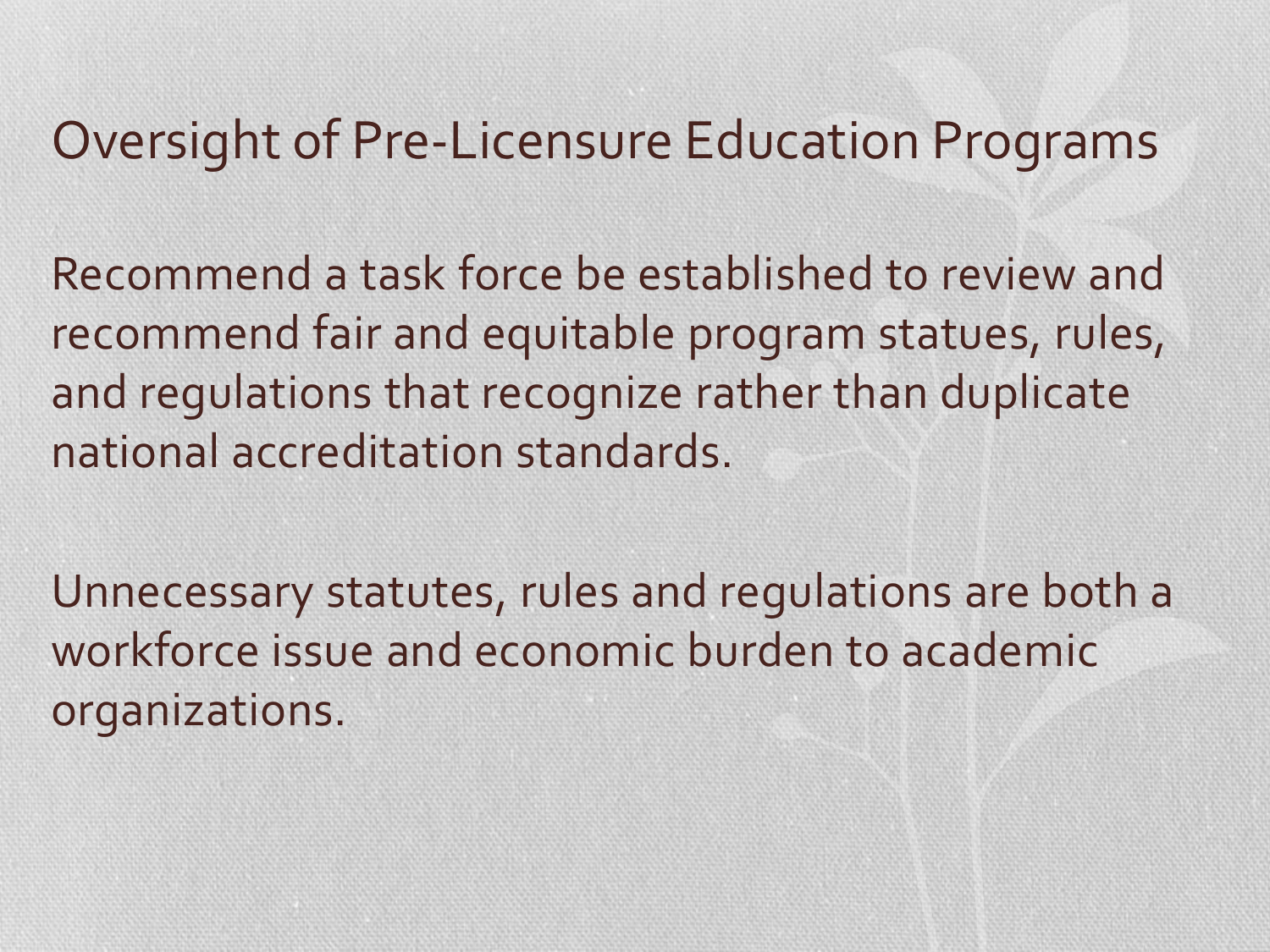# Oversight of Pre-Licensure Education Programs

Recommend a task force be established to review and recommend fair and equitable program statues, rules, and regulations that recognize rather than duplicate national accreditation standards.

Unnecessary statutes, rules and regulations are both a workforce issue and economic burden to academic organizations.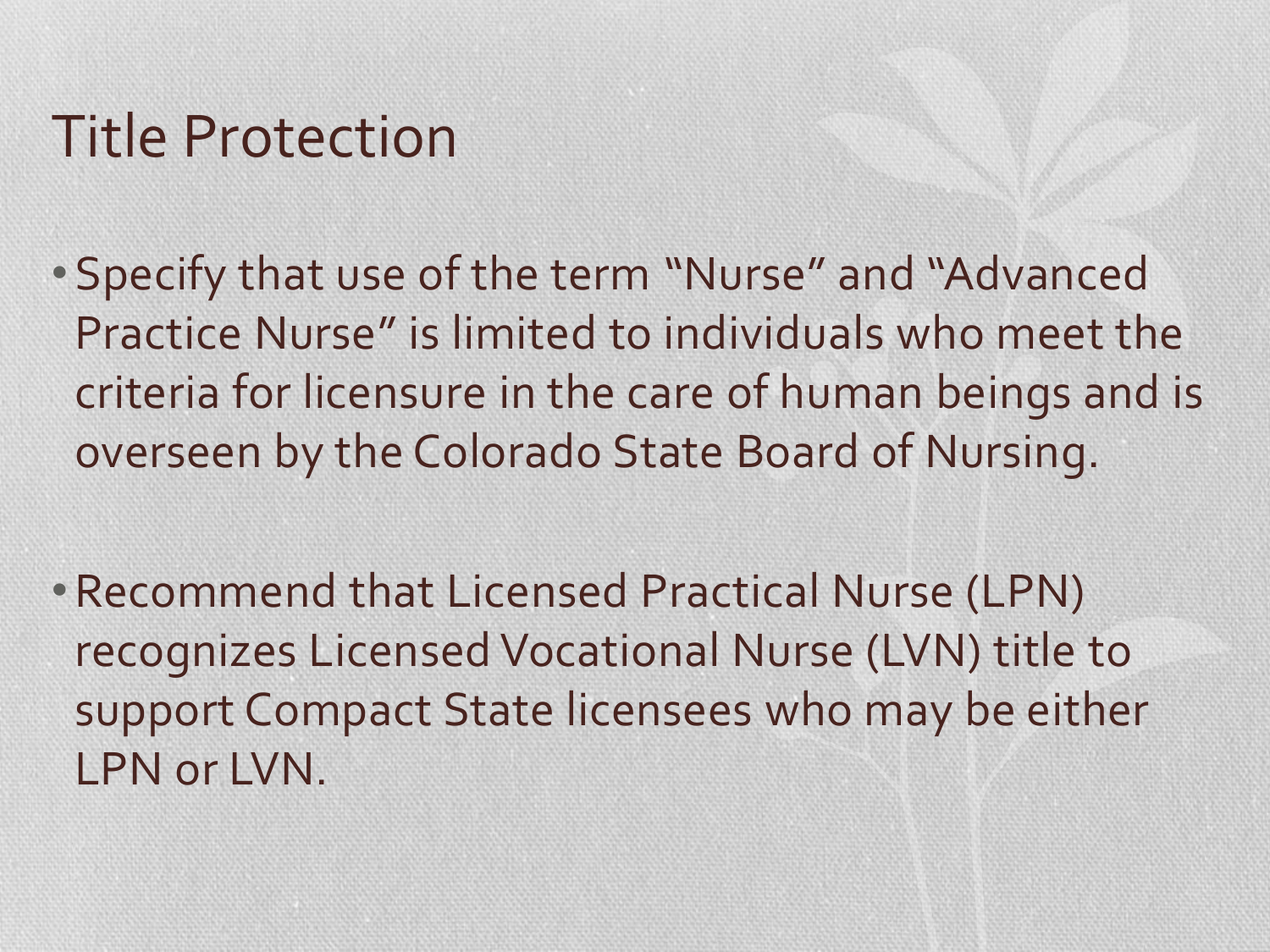# Title Protection

- Specify that use of the term "Nurse" and "Advanced Practice Nurse" is limited to individuals who meet the criteria for licensure in the care of human beings and is overseen by the Colorado State Board of Nursing.
- •Recommend that Licensed Practical Nurse (LPN) recognizes Licensed Vocational Nurse (LVN) title to support Compact State licensees who may be either LPN or LVN.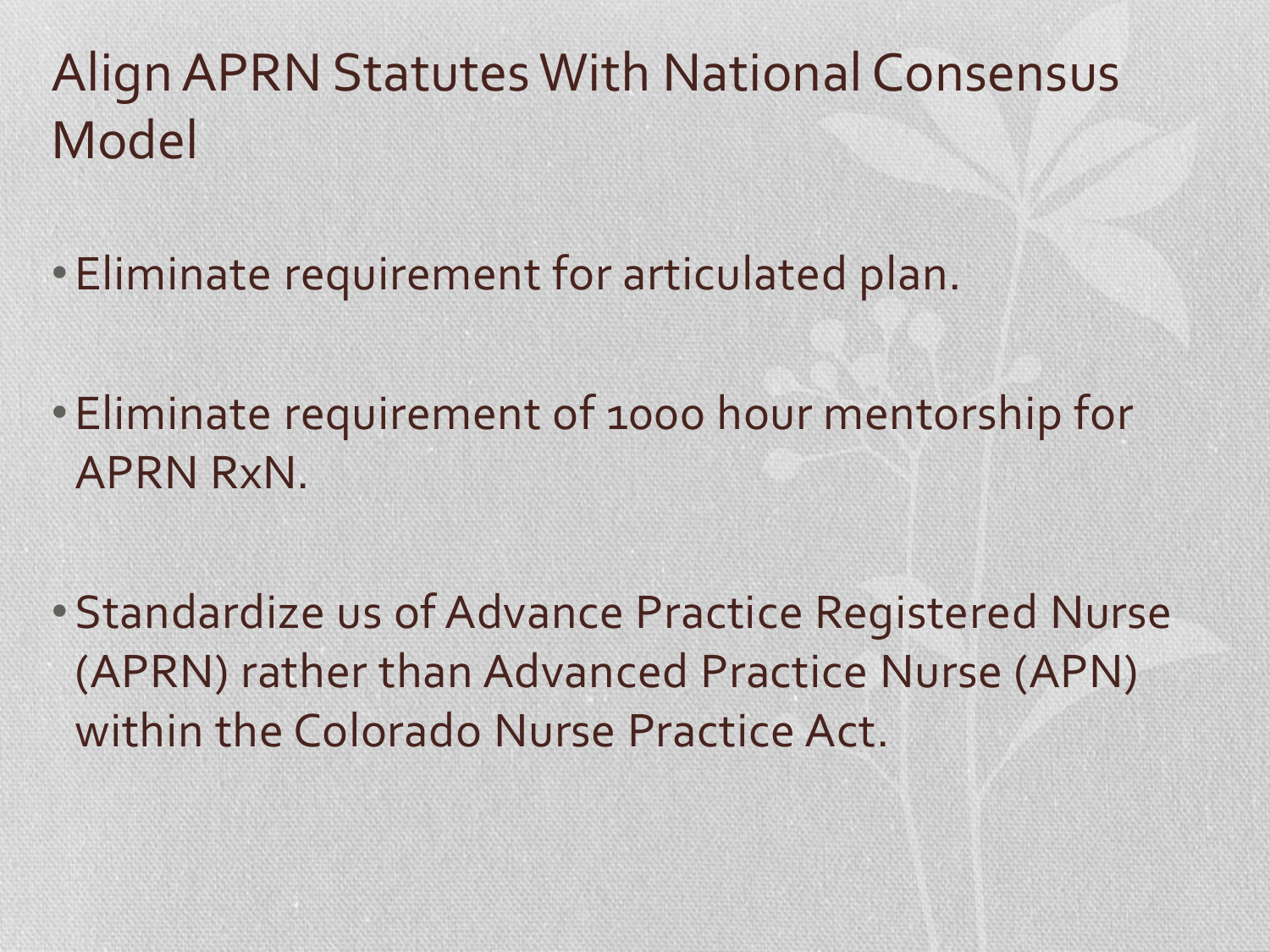# Align APRN Statutes With National Consensus Model

- Eliminate requirement for articulated plan.
- Eliminate requirement of 1000 hour mentorship for APRN RxN.
- Standardize us of Advance Practice Registered Nurse (APRN) rather than Advanced Practice Nurse (APN) within the Colorado Nurse Practice Act.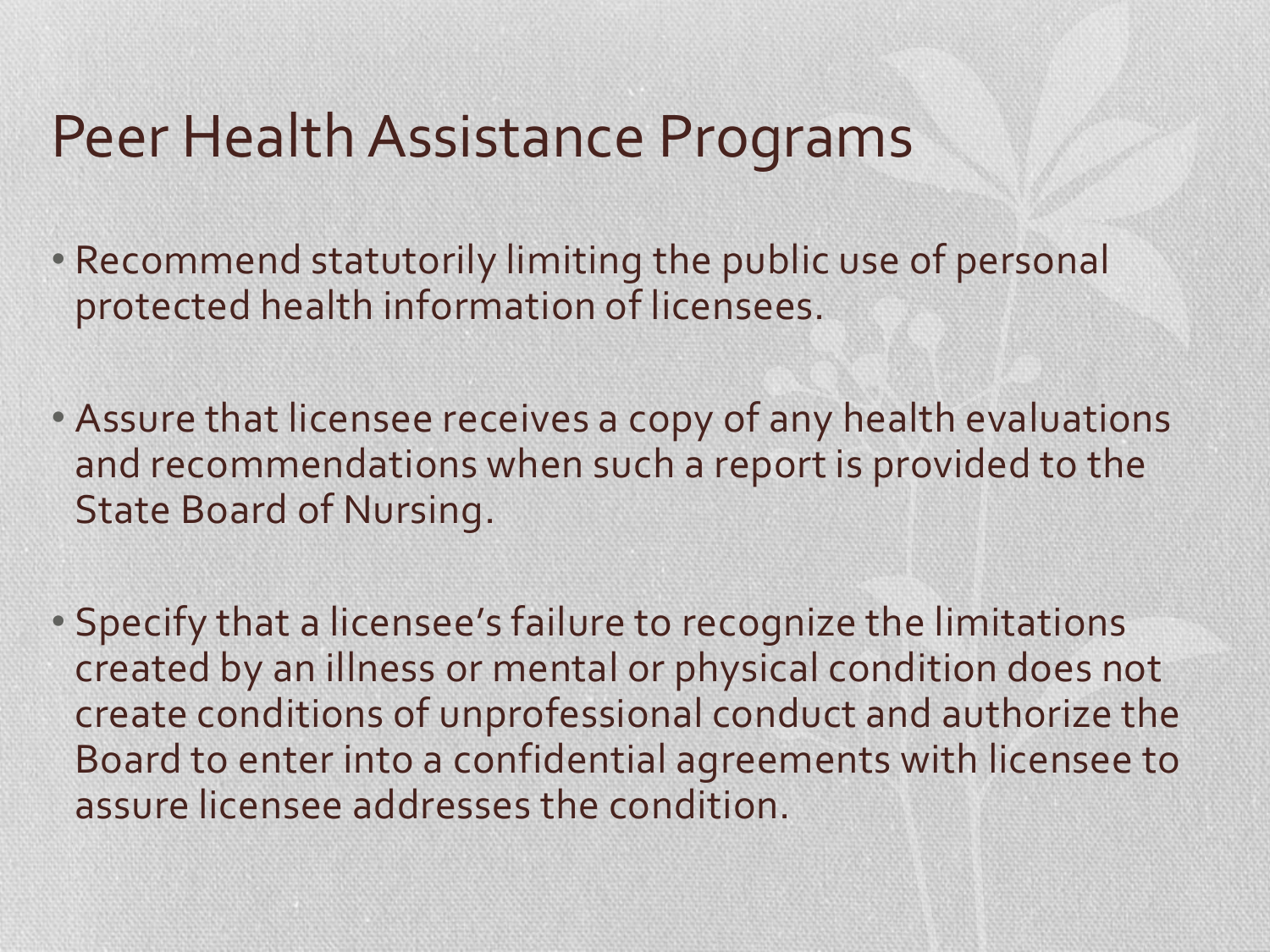# Peer Health Assistance Programs

- Recommend statutorily limiting the public use of personal protected health information of licensees.
- Assure that licensee receives a copy of any health evaluations and recommendations when such a report is provided to the State Board of Nursing.
- Specify that a licensee's failure to recognize the limitations created by an illness or mental or physical condition does not create conditions of unprofessional conduct and authorize the Board to enter into a confidential agreements with licensee to assure licensee addresses the condition.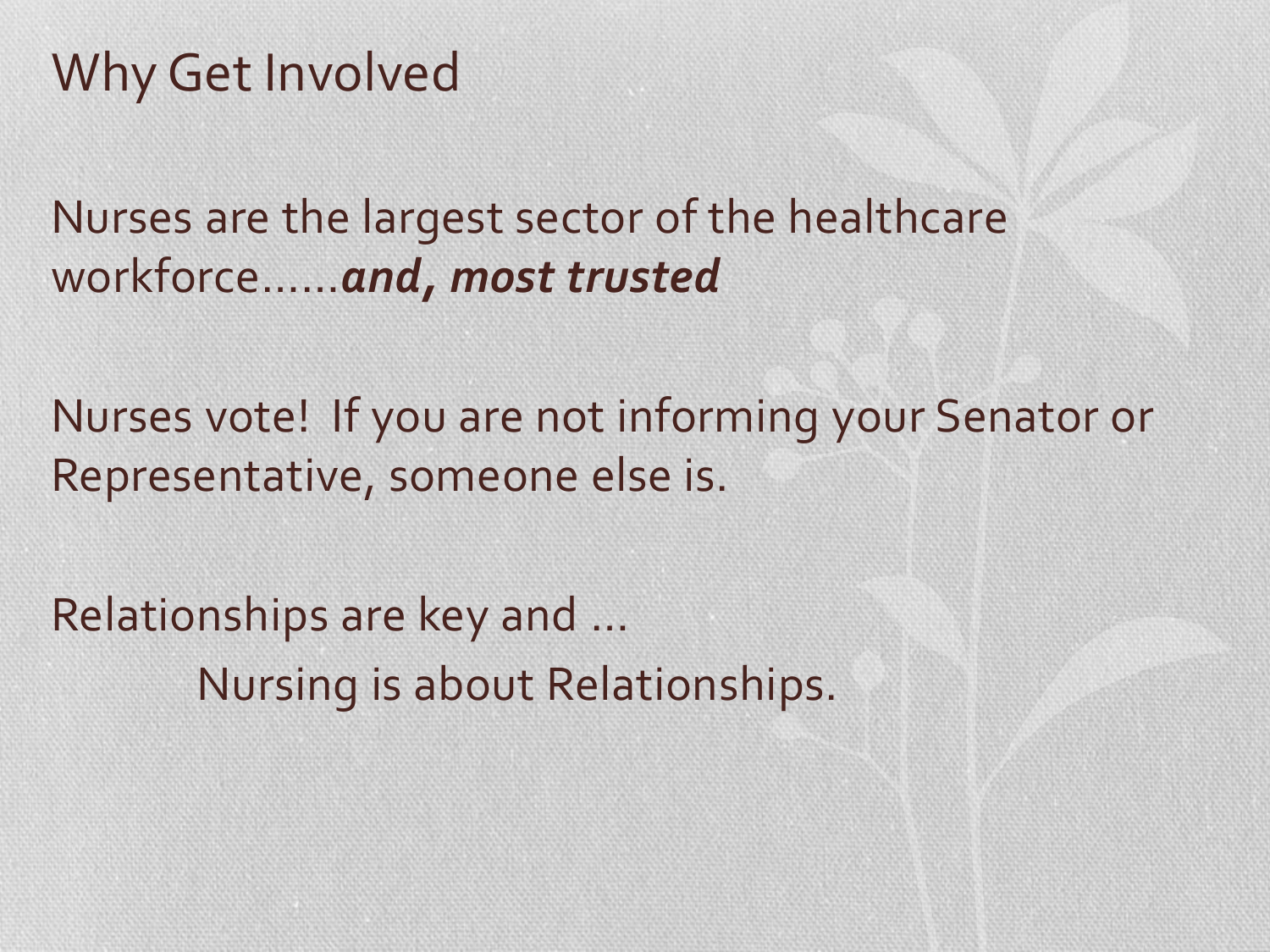## Why Get Involved

Nurses are the largest sector of the healthcare workforce……*and, most trusted*

Nurses vote! If you are not informing your Senator or Representative, someone else is.

Relationships are key and … Nursing is about Relationships.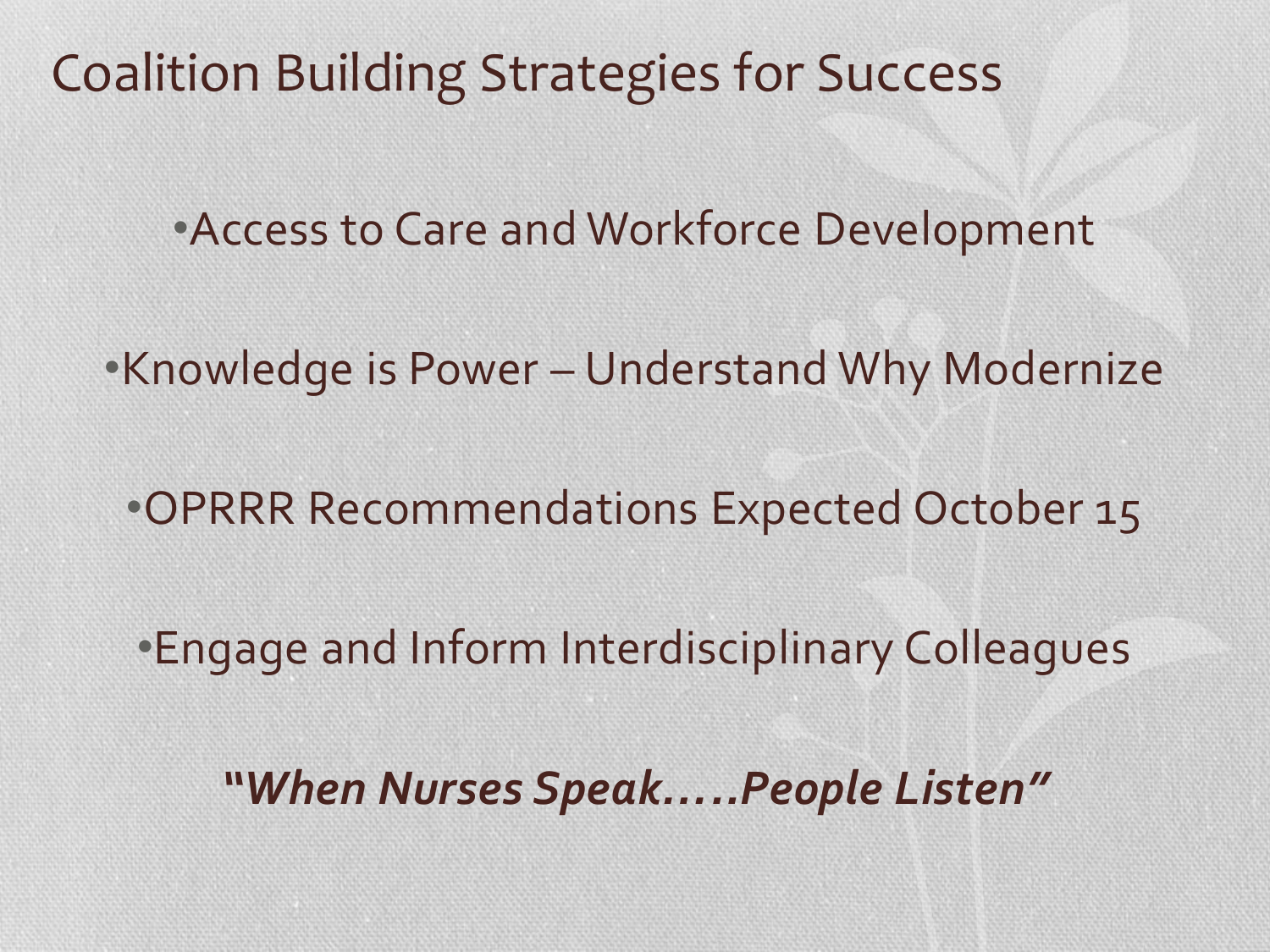Coalition Building Strategies for Success

•Access to Care and Workforce Development

•Knowledge is Power – Understand Why Modernize

•OPRRR Recommendations Expected October 15

•Engage and Inform Interdisciplinary Colleagues

*"When Nurses Speak…..People Listen"*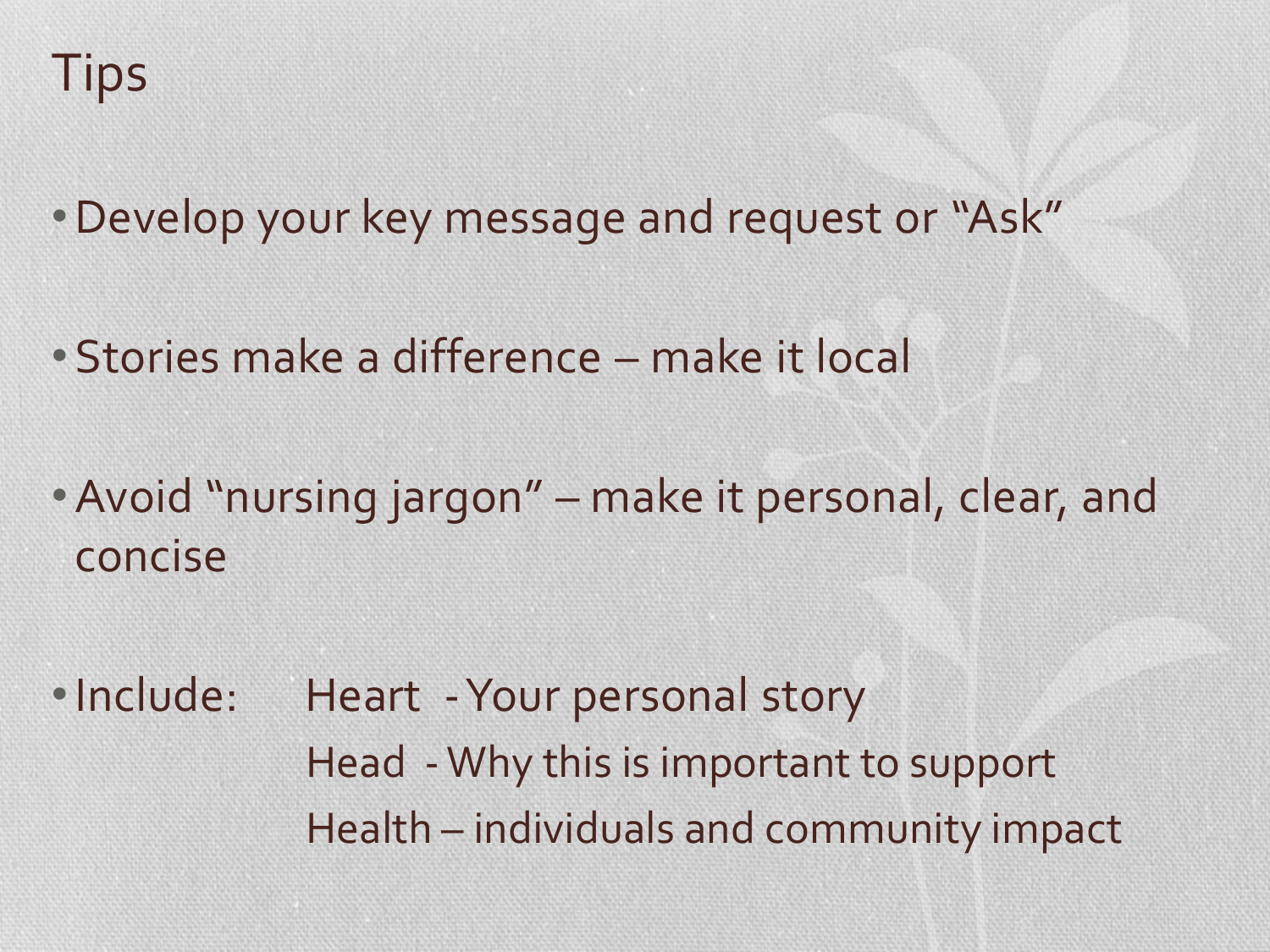- •Develop your key message and request or "Ask"
- Stories make a difference make it local
- •Avoid "nursing jargon" make it personal, clear, and concise
- Include: Heart Your personal story Head -Why this is important to support Health – individuals and community impact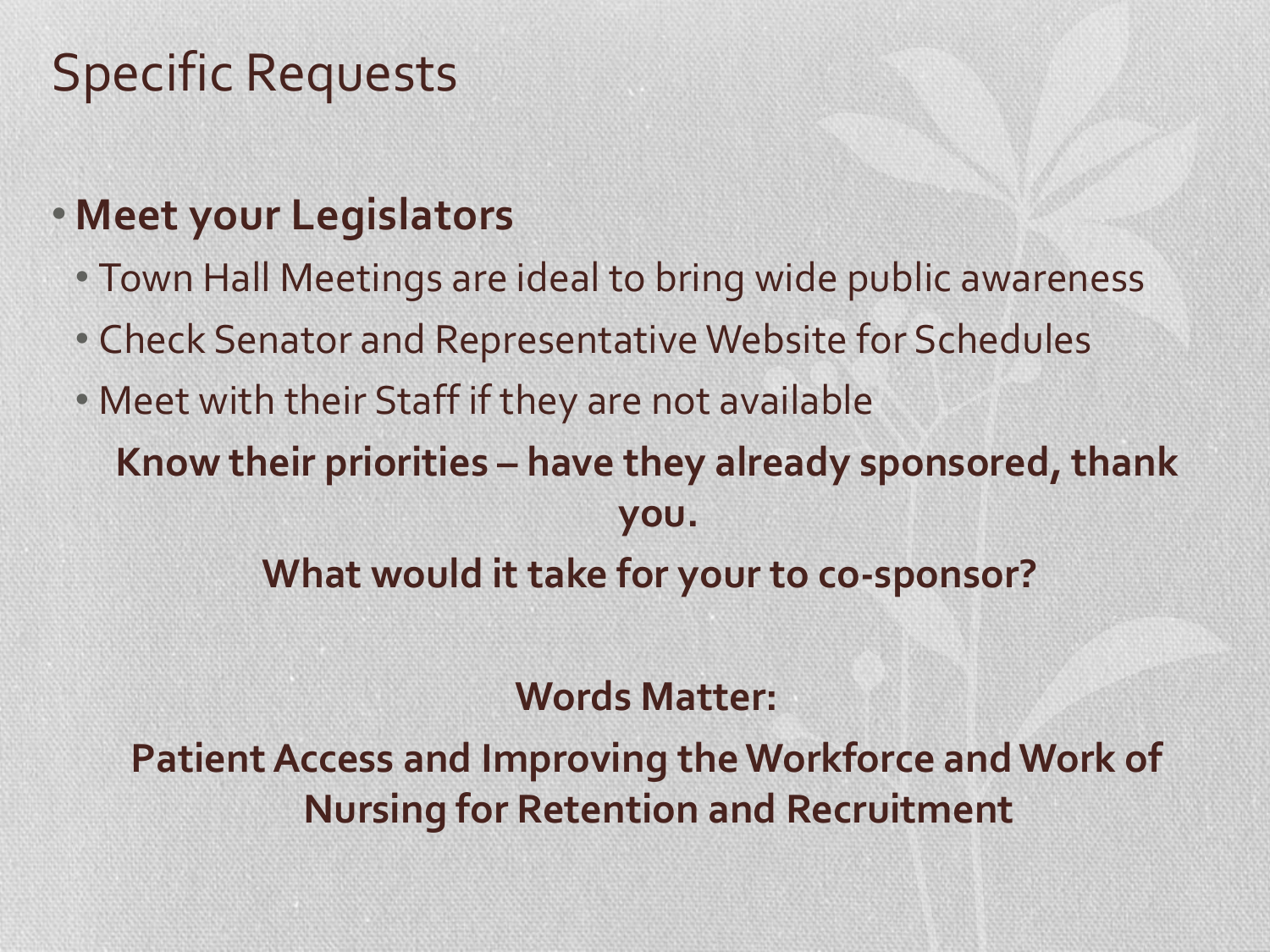## Specific Requests

### • **Meet your Legislators**

- Town Hall Meetings are ideal to bring wide public awareness
- Check Senator and Representative Website for Schedules
- Meet with their Staff if they are not available **Know their priorities – have they already sponsored, thank you. What would it take for your to co-sponsor?**

#### **Words Matter:**

**Patient Access and Improving the Workforce and Work of Nursing for Retention and Recruitment**